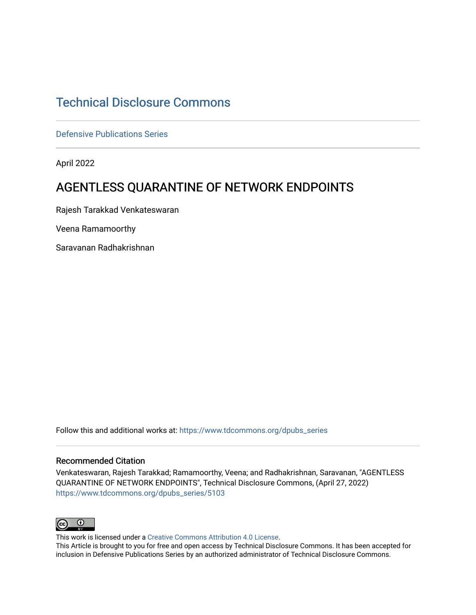## [Technical Disclosure Commons](https://www.tdcommons.org/)

[Defensive Publications Series](https://www.tdcommons.org/dpubs_series)

April 2022

# AGENTLESS QUARANTINE OF NETWORK ENDPOINTS

Rajesh Tarakkad Venkateswaran

Veena Ramamoorthy

Saravanan Radhakrishnan

Follow this and additional works at: [https://www.tdcommons.org/dpubs\\_series](https://www.tdcommons.org/dpubs_series?utm_source=www.tdcommons.org%2Fdpubs_series%2F5103&utm_medium=PDF&utm_campaign=PDFCoverPages) 

#### Recommended Citation

Venkateswaran, Rajesh Tarakkad; Ramamoorthy, Veena; and Radhakrishnan, Saravanan, "AGENTLESS QUARANTINE OF NETWORK ENDPOINTS", Technical Disclosure Commons, (April 27, 2022) [https://www.tdcommons.org/dpubs\\_series/5103](https://www.tdcommons.org/dpubs_series/5103?utm_source=www.tdcommons.org%2Fdpubs_series%2F5103&utm_medium=PDF&utm_campaign=PDFCoverPages)



This work is licensed under a [Creative Commons Attribution 4.0 License](http://creativecommons.org/licenses/by/4.0/deed.en_US).

This Article is brought to you for free and open access by Technical Disclosure Commons. It has been accepted for inclusion in Defensive Publications Series by an authorized administrator of Technical Disclosure Commons.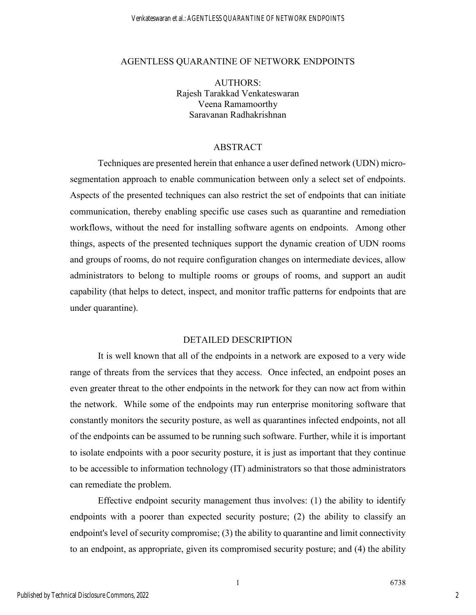#### AGENTLESS QUARANTINE OF NETWORK ENDPOINTS

AUTHORS: Rajesh Tarakkad Venkateswaran Veena Ramamoorthy Saravanan Radhakrishnan

### ABSTRACT

Techniques are presented herein that enhance a user defined network (UDN) microsegmentation approach to enable communication between only a select set of endpoints. Aspects of the presented techniques can also restrict the set of endpoints that can initiate communication, thereby enabling specific use cases such as quarantine and remediation workflows, without the need for installing software agents on endpoints. Among other things, aspects of the presented techniques support the dynamic creation of UDN rooms and groups of rooms, do not require configuration changes on intermediate devices, allow administrators to belong to multiple rooms or groups of rooms, and support an audit capability (that helps to detect, inspect, and monitor traffic patterns for endpoints that are under quarantine).

#### DETAILED DESCRIPTION

It is well known that all of the endpoints in a network are exposed to a very wide range of threats from the services that they access. Once infected, an endpoint poses an even greater threat to the other endpoints in the network for they can now act from within the network. While some of the endpoints may run enterprise monitoring software that constantly monitors the security posture, as well as quarantines infected endpoints, not all of the endpoints can be assumed to be running such software. Further, while it is important to isolate endpoints with a poor security posture, it is just as important that they continue to be accessible to information technology (IT) administrators so that those administrators can remediate the problem.

Effective endpoint security management thus involves: (1) the ability to identify endpoints with a poorer than expected security posture; (2) the ability to classify an endpoint's level of security compromise; (3) the ability to quarantine and limit connectivity to an endpoint, as appropriate, given its compromised security posture; and (4) the ability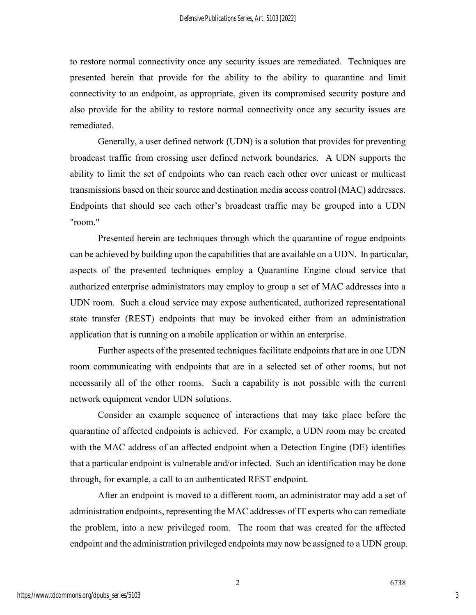to restore normal connectivity once any security issues are remediated. Techniques are presented herein that provide for the ability to the ability to quarantine and limit connectivity to an endpoint, as appropriate, given its compromised security posture and also provide for the ability to restore normal connectivity once any security issues are remediated.

Generally, a user defined network (UDN) is a solution that provides for preventing broadcast traffic from crossing user defined network boundaries. A UDN supports the ability to limit the set of endpoints who can reach each other over unicast or multicast transmissions based on their source and destination media access control (MAC) addresses. Endpoints that should see each other's broadcast traffic may be grouped into a UDN "room."

Presented herein are techniques through which the quarantine of rogue endpoints can be achieved by building upon the capabilities that are available on a UDN. In particular, aspects of the presented techniques employ a Quarantine Engine cloud service that authorized enterprise administrators may employ to group a set of MAC addresses into a UDN room. Such a cloud service may expose authenticated, authorized representational state transfer (REST) endpoints that may be invoked either from an administration application that is running on a mobile application or within an enterprise.

Further aspects of the presented techniques facilitate endpoints that are in one UDN room communicating with endpoints that are in a selected set of other rooms, but not necessarily all of the other rooms. Such a capability is not possible with the current network equipment vendor UDN solutions.

Consider an example sequence of interactions that may take place before the quarantine of affected endpoints is achieved. For example, a UDN room may be created with the MAC address of an affected endpoint when a Detection Engine (DE) identifies that a particular endpoint is vulnerable and/or infected. Such an identification may be done through, for example, a call to an authenticated REST endpoint.

After an endpoint is moved to a different room, an administrator may add a set of administration endpoints, representing the MAC addresses of IT experts who can remediate the problem, into a new privileged room. The room that was created for the affected endpoint and the administration privileged endpoints may now be assigned to a UDN group.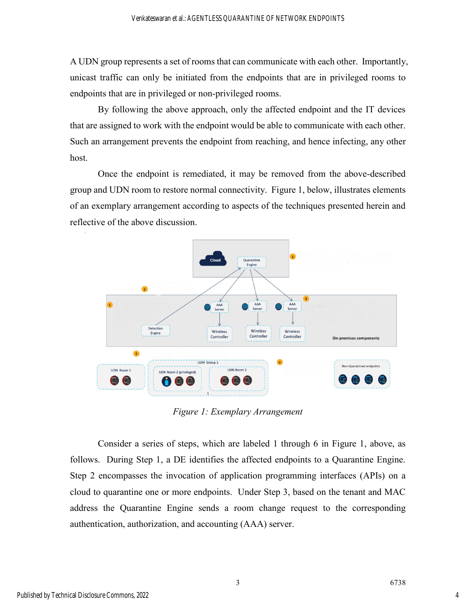A UDN group represents a set of rooms that can communicate with each other. Importantly, unicast traffic can only be initiated from the endpoints that are in privileged rooms to endpoints that are in privileged or non-privileged rooms.

By following the above approach, only the affected endpoint and the IT devices that are assigned to work with the endpoint would be able to communicate with each other. Such an arrangement prevents the endpoint from reaching, and hence infecting, any other host.

Once the endpoint is remediated, it may be removed from the above-described group and UDN room to restore normal connectivity. Figure 1, below, illustrates elements of an exemplary arrangement according to aspects of the techniques presented herein and reflective of the above discussion.



*Figure 1: Exemplary Arrangement*

Consider a series of steps, which are labeled 1 through 6 in Figure 1, above, as follows. During Step 1, a DE identifies the affected endpoints to a Quarantine Engine. Step 2 encompasses the invocation of application programming interfaces (APIs) on a cloud to quarantine one or more endpoints. Under Step 3, based on the tenant and MAC address the Quarantine Engine sends a room change request to the corresponding authentication, authorization, and accounting (AAA) server.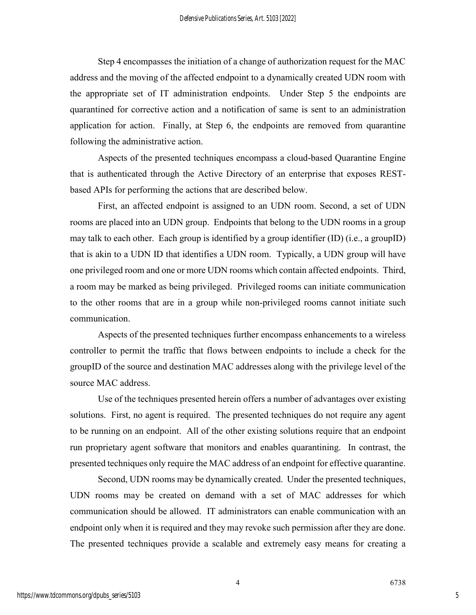Step 4 encompasses the initiation of a change of authorization request for the MAC address and the moving of the affected endpoint to a dynamically created UDN room with the appropriate set of IT administration endpoints. Under Step 5 the endpoints are quarantined for corrective action and a notification of same is sent to an administration application for action. Finally, at Step 6, the endpoints are removed from quarantine following the administrative action.

Aspects of the presented techniques encompass a cloud-based Quarantine Engine that is authenticated through the Active Directory of an enterprise that exposes RESTbased APIs for performing the actions that are described below.

First, an affected endpoint is assigned to an UDN room. Second, a set of UDN rooms are placed into an UDN group. Endpoints that belong to the UDN rooms in a group may talk to each other. Each group is identified by a group identifier (ID) (i.e., a groupID) that is akin to a UDN ID that identifies a UDN room. Typically, a UDN group will have one privileged room and one or more UDN rooms which contain affected endpoints. Third, a room may be marked as being privileged. Privileged rooms can initiate communication to the other rooms that are in a group while non-privileged rooms cannot initiate such communication.

Aspects of the presented techniques further encompass enhancements to a wireless controller to permit the traffic that flows between endpoints to include a check for the groupID of the source and destination MAC addresses along with the privilege level of the source MAC address.

Use of the techniques presented herein offers a number of advantages over existing solutions. First, no agent is required. The presented techniques do not require any agent to be running on an endpoint. All of the other existing solutions require that an endpoint run proprietary agent software that monitors and enables quarantining. In contrast, the presented techniques only require the MAC address of an endpoint for effective quarantine.

Second, UDN rooms may be dynamically created. Under the presented techniques, UDN rooms may be created on demand with a set of MAC addresses for which communication should be allowed. IT administrators can enable communication with an endpoint only when it is required and they may revoke such permission after they are done. The presented techniques provide a scalable and extremely easy means for creating a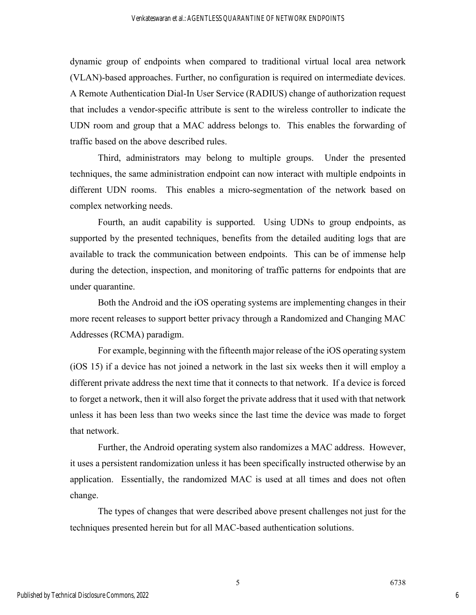dynamic group of endpoints when compared to traditional virtual local area network (VLAN)-based approaches. Further, no configuration is required on intermediate devices. A Remote Authentication Dial-In User Service (RADIUS) change of authorization request that includes a vendor-specific attribute is sent to the wireless controller to indicate the UDN room and group that a MAC address belongs to. This enables the forwarding of traffic based on the above described rules.

Third, administrators may belong to multiple groups. Under the presented techniques, the same administration endpoint can now interact with multiple endpoints in different UDN rooms. This enables a micro-segmentation of the network based on complex networking needs.

Fourth, an audit capability is supported. Using UDNs to group endpoints, as supported by the presented techniques, benefits from the detailed auditing logs that are available to track the communication between endpoints. This can be of immense help during the detection, inspection, and monitoring of traffic patterns for endpoints that are under quarantine.

Both the Android and the iOS operating systems are implementing changes in their more recent releases to support better privacy through a Randomized and Changing MAC Addresses (RCMA) paradigm.

For example, beginning with the fifteenth major release of the iOS operating system (iOS 15) if a device has not joined a network in the last six weeks then it will employ a different private address the next time that it connects to that network. If a device is forced to forget a network, then it will also forget the private address that it used with that network unless it has been less than two weeks since the last time the device was made to forget that network.

Further, the Android operating system also randomizes a MAC address. However, it uses a persistent randomization unless it has been specifically instructed otherwise by an application. Essentially, the randomized MAC is used at all times and does not often change.

The types of changes that were described above present challenges not just for the techniques presented herein but for all MAC-based authentication solutions.